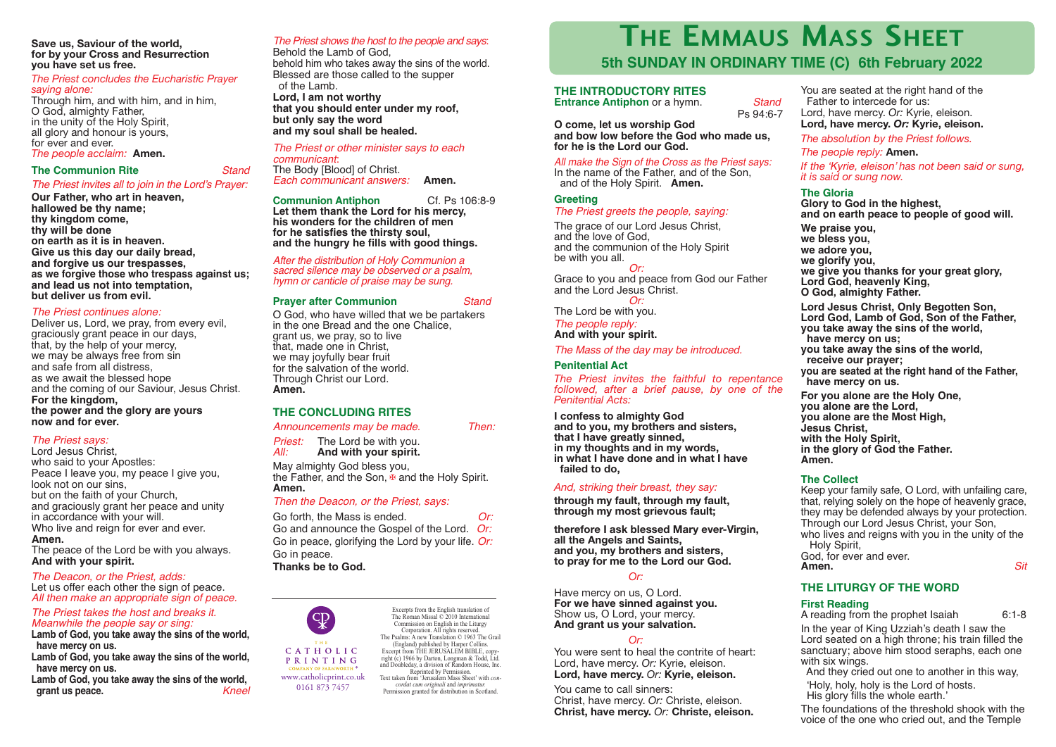**Save us, Saviour of the world, for by your Cross and Resurrection you have set us free.**

### *The Priest concludes the Eucharistic Prayer saying alone:*

Through him, and with him, and in him, O God, almighty Father, in the unity of the Holy Spirit, all glory and honour is yours,<br>for ever and ever.

### *The people acclaim: Amen.*

### **The Communion Rite** *Stand*

*The Priest invites all to join in the Lord's Prayer:*

**Our Father, who art in heaven,**

**hallowed be thy name; thy kingdom come, thy will be done on earth as it is in heaven. Give us this day our daily bread, and forgive us our trespasses, as we forgive those who trespass against us; and lead us not into temptation, but deliver us from evil.**

### *The Priest continues alone:*

Deliver us, Lord, we pray, from every evil, graciously grant peace in our days, that, by the help of your mercy, we may be always free from sin and safe from all distress, as we await the blessed hope and the coming of our Saviour, Jesus Christ. **For the kingdom, the power and the glory are yours**

**now and for ever.**

### *The Priest says:*

Lord Jesus Christ, who said to your Apostles: Peace I leave you, my peace I give you. look not on our sins, but on the faith of your Church, and graciously grant her peace and unity in accordance with your will. Who live and reign for ever and ever. **Amen.**

The peace of the Lord be with you always. **And with your spirit.**

# *The Deacon, or the Priest, adds:*

Let us offer each other the sign of peace. *All then make an appropriate sign of peace.*

### *The Priest takes the host and breaks it. Meanwhile the people say or sing:*

**Lamb of God, you take away the sins of the world, have mercy on us.**

**Lamb of God, you take away the sins of the world, have mercy on us.**

**Lamb of God, you take away the sins of the world, grant us peace.** *Kneel*

### *The Priest shows the host to the people and says*:

Behold the Lamb of God, behold him who takes away the sins of the world. Blessed are those called to the supper of the Lamb. **Lord, I am not worthy that you should enter under my roof, but only say the word and my soul shall be healed.**

*The Priest or other minister says to each communicant*: The Body [Blood] of Christ. *Each communicant answers:* **Amen.**

### **Communion Antiphon** Cf. Ps 106:8-9

**Let them thank the Lord for his mercy, his wonders for the children of men for he satisfies the thirsty soul, and the hungry he fills with good things.**

*After the distribution of Holy Communion a sacred silence may be observed or <sup>a</sup> psalm, hymn or canticle of praise may be sung.*

### **Prayer after Communion** *Stand*

O God, who have willed that we be partakers in the one Bread and the one Chalice, grant us, we pray, so to live that, made one in Christ, we may joyfully bear fruit for the salvation of the world. Through Christ our Lord. **Amen.**

### **THE CONCLUDING RITES**

*Announcements may be made. Then:*

**Priest:** The Lord be with you.<br>*All:* **And with your spirit.** *All:* **And with your spirit.**

May almighty God bless you, the Father, and the Son,  $\overline{\mathbf{F}}$  and the Holy Spirit. **Amen.**

### *Then the Deacon, or the Priest, says:*

| Go forth, the Mass is ended.                       | Or: |
|----------------------------------------------------|-----|
| Go and announce the Gospel of the Lord. Or:        |     |
| Go in peace, glorifying the Lord by your life. Or: |     |
| Go in peace.                                       |     |
| Thanks be to God.                                  |     |



0161 873 7457

The Psalms: A new Translation © 1963 The Grail (England) published by Harper Collins. Excerpt from THE JERUSALEM BIBLE, copyright (c) 1966 by Darton, Longman & Todd, Ltd. and Doubleday, a division of Random House, Inc. Reprinted by Permission. Text taken from 'Jerusalem Mass Sheet' with *con- cordat cum originali* and *imprimatur.* Permission granted for distribution in Scotland.

# **THE EMMAUS MASS SHEET**

# **5th SUNDAY IN ORDINARY TIME (C) 6th February 2022**

### **THE INTRODUCTORY RITES**

*The Priest greets the people, saying:* The grace of our Lord Jesus Christ.

and the communion of the Holy Spirit

Grace to you and peace from God our Father

*The Mass of the day may be introduced.*

**and to you, my brothers and sisters,**

*And, striking their breast, they say:* **through my fault, through my fault, through my most grievous fault;**

**therefore I ask blessed Mary ever-Virgin,**

*The Priest invites the faithful to repentance followed, after a brief pause, by one of the*

*Or:*

and the Lord Jesus Christ. *Or:*

**I confess to almighty God**

**that I have greatly sinned, in my thoughts and in my words, in what I have done and in what I have**

**all the Angels and Saints, and you, my brothers and sisters, to pray for me to the Lord our God.** *Or:* Have mercy on us, O Lord. **For we have sinned against you.** Show us, O Lord, your mercy. **And grant us your salvation.** *Or:* You were sent to heal the contrite of heart: Lord, have mercy. *Or:* Kyrie, eleison. **Lord, have mercy.** *Or:* **Kyrie, eleison.**

You came to call sinners:

Christ, have mercy. *Or:* Christe, eleison. **Christ, have mercy.** *Or:* **Christe, eleison.**

The Lord be with you. *The people reply:* **And with your spirit.**

**and bow low before the God who made us, for he is the Lord our God.** *All make the Sign of the Cross as the Priest says:* In the name of the Father, and of the Son, and of the Holy Spirit. **Amen.**

**O come, let us worship God**

**Greeting**

and the love of God,

be with you all.

**Penitential Act**

*Penitential Acts:*

**failed to do,**

**Entrance Antiphon** or a hymn. *Stand* Ps 94:6-7

You are seated at the right hand of the Father to intercede for us: Lord, have mercy. *Or:* Kyrie, eleison. **Lord, have mercy.** *Or:* **Kyrie, eleison.**

*The absolution by the Priest follows.*

*The people reply:* **Amen.**

*If the 'Kyrie, eleison' has not been said or sung, it is said or sung now.*

### **The Gloria**

**Glory to God in the highest, and on earth peace to people of good will.**

**We praise you, we bless you, we adore you, we glorify you, we give you thanks for your great glory, Lord God, heavenly King, <sup>O</sup> God, almighty Father.**

**Lord Jesus Christ, Only Begotten Son, Lord God, Lamb of God, Son of the Father, you take away the sins of the world, have mercy on us; you take away the sins of the world, receive our prayer; you are seated at the right hand of the Father, have mercy on us.**

**For you alone are the Holy One, you alone are the Lord, you alone are the Most High, Jesus Christ, with the Holy Spirit, in the glory of God the Father. Amen.**

### **The Collect**

Keep your family safe, O Lord, with unfailing care, that, relying solely on the hope of heavenly grace, they may be defended always by your protection. Through our Lord Jesus Christ, your Son, who lives and reigns with you in the unity of the Holy Spirit, God, for ever and ever. **Amen.** *Sit*

### **THE LITURGY OF THE WORD**

### **First Reading**

A reading from the prophet Isaiah 6:1-8

In the year of King Uzziah's death I saw the Lord seated on a high throne; his train filled the sanctuary: above him stood seraphs, each one with six wings.<br>And they cried out one to another in this way,

'Holy, holy, holy is the Lord of hosts. His glory fills the whole earth.'

The foundations of the threshold shook with the voice of the one who cried out, and the Temple

Excerpts from the English translation of The Roman Missal © 2010 International Commission on English in the Liturgy Corporation. All rights reserved.